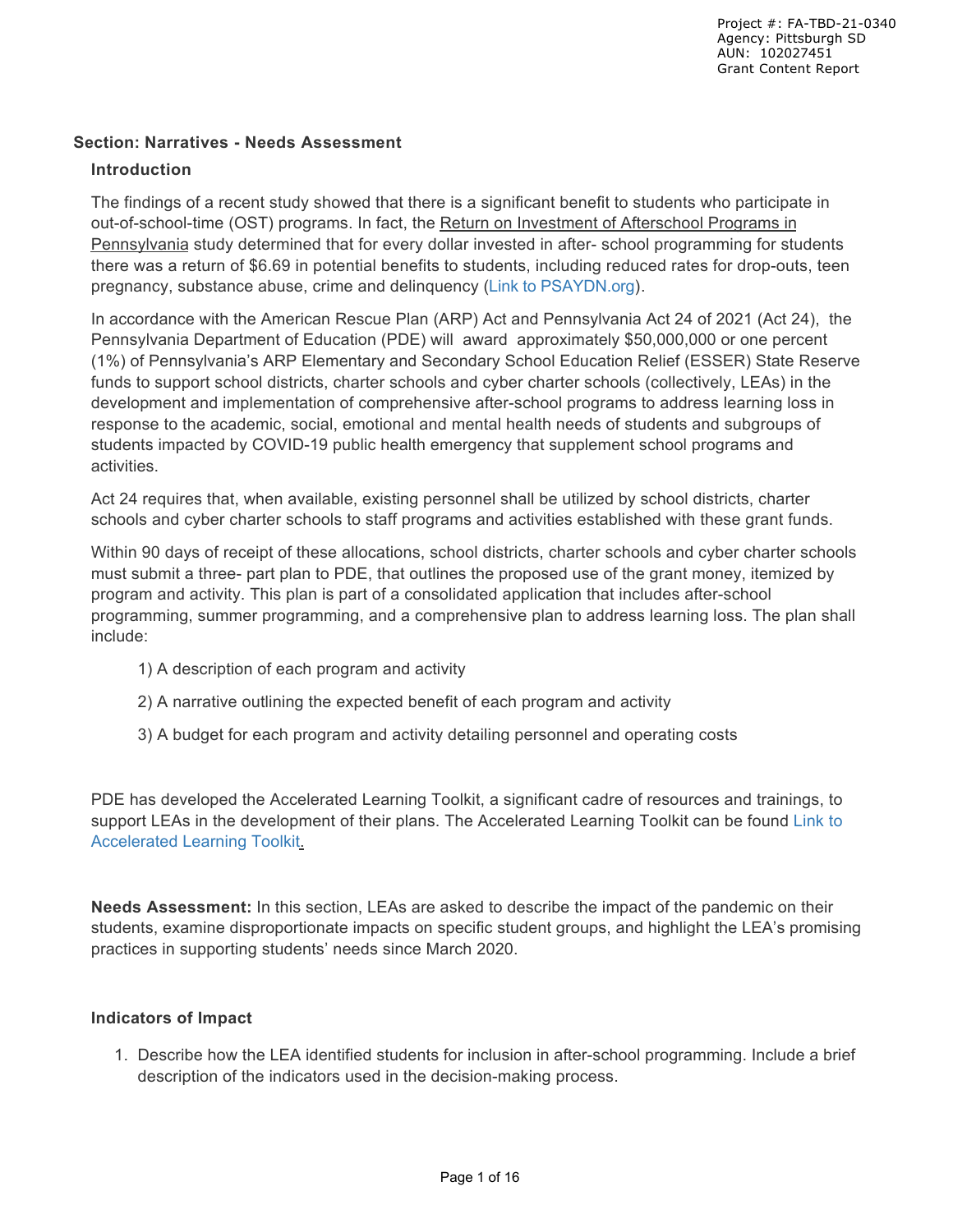#### **Section: Narratives - Needs Assessment**

#### **Introduction**

The findings of a recent study showed that there is a significant benefit to students who participate in out-of-school-time (OST) programs. In fact, the Return on Investment of Afterschool Programs in Pennsylvania study determined that for every dollar invested in after- school programming for students there was a return of \$6.69 in potential benefits to students, including reduced rates for drop-outs, teen pregnancy, substance abuse, crime and delinquency (Link to PSAYDN.org).

In accordance with the American Rescue Plan (ARP) Act and Pennsylvania Act 24 of 2021 (Act 24), the Pennsylvania Department of Education (PDE) will award approximately \$50,000,000 or one percent (1%) of Pennsylvania's ARP Elementary and Secondary School Education Relief (ESSER) State Reserve funds to support school districts, charter schools and cyber charter schools (collectively, LEAs) in the development and implementation of comprehensive after-school programs to address learning loss in response to the academic, social, emotional and mental health needs of students and subgroups of students impacted by COVID-19 public health emergency that supplement school programs and activities.

Act 24 requires that, when available, existing personnel shall be utilized by school districts, charter schools and cyber charter schools to staff programs and activities established with these grant funds.

Within 90 days of receipt of these allocations, school districts, charter schools and cyber charter schools must submit a three- part plan to PDE, that outlines the proposed use of the grant money, itemized by program and activity. This plan is part of a consolidated application that includes after-school programming, summer programming, and a comprehensive plan to address learning loss. The plan shall include:

- 1) A description of each program and activity
- 2) A narrative outlining the expected benefit of each program and activity
- 3) A budget for each program and activity detailing personnel and operating costs

PDE has developed the Accelerated Learning Toolkit, a significant cadre of resources and trainings, to support LEAs in the development of their plans. The Accelerated Learning Toolkit can be found Link to Accelerated Learning Toolkit.

**Needs Assessment:** In this section, LEAs are asked to describe the impact of the pandemic on their students, examine disproportionate impacts on specific student groups, and highlight the LEA's promising practices in supporting students' needs since March 2020.

#### **Indicators of Impact**

1. Describe how the LEA identified students for inclusion in after-school programming. Include a brief description of the indicators used in the decision-making process.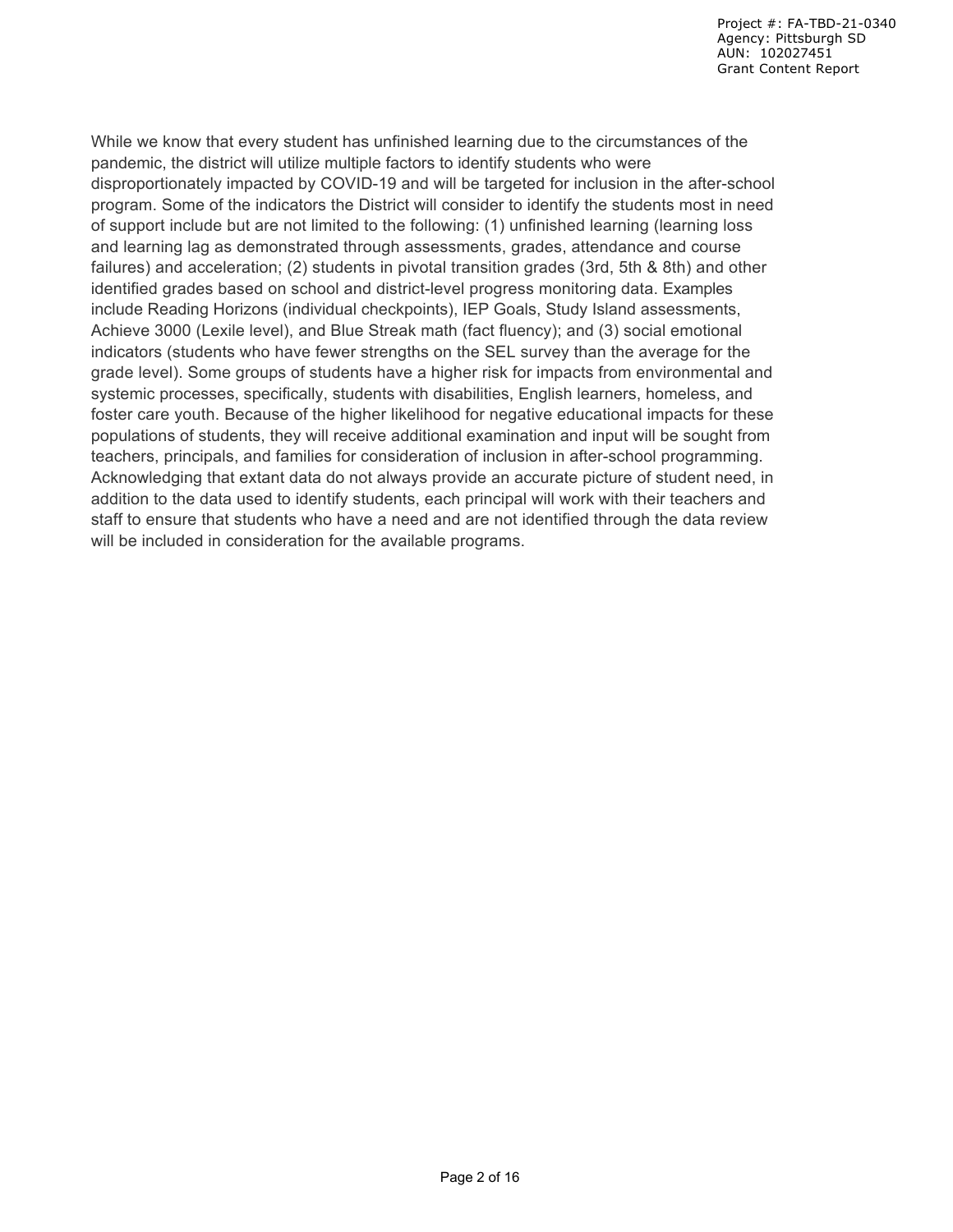While we know that every student has unfinished learning due to the circumstances of the pandemic, the district will utilize multiple factors to identify students who were disproportionately impacted by COVID-19 and will be targeted for inclusion in the after-school program. Some of the indicators the District will consider to identify the students most in need of support include but are not limited to the following: (1) unfinished learning (learning loss and learning lag as demonstrated through assessments, grades, attendance and course failures) and acceleration; (2) students in pivotal transition grades (3rd, 5th & 8th) and other identified grades based on school and district-level progress monitoring data. Examples include Reading Horizons (individual checkpoints), IEP Goals, Study Island assessments, Achieve 3000 (Lexile level), and Blue Streak math (fact fluency); and (3) social emotional indicators (students who have fewer strengths on the SEL survey than the average for the grade level). Some groups of students have a higher risk for impacts from environmental and systemic processes, specifically, students with disabilities, English learners, homeless, and foster care youth. Because of the higher likelihood for negative educational impacts for these populations of students, they will receive additional examination and input will be sought from teachers, principals, and families for consideration of inclusion in after-school programming. Acknowledging that extant data do not always provide an accurate picture of student need, in addition to the data used to identify students, each principal will work with their teachers and staff to ensure that students who have a need and are not identified through the data review will be included in consideration for the available programs.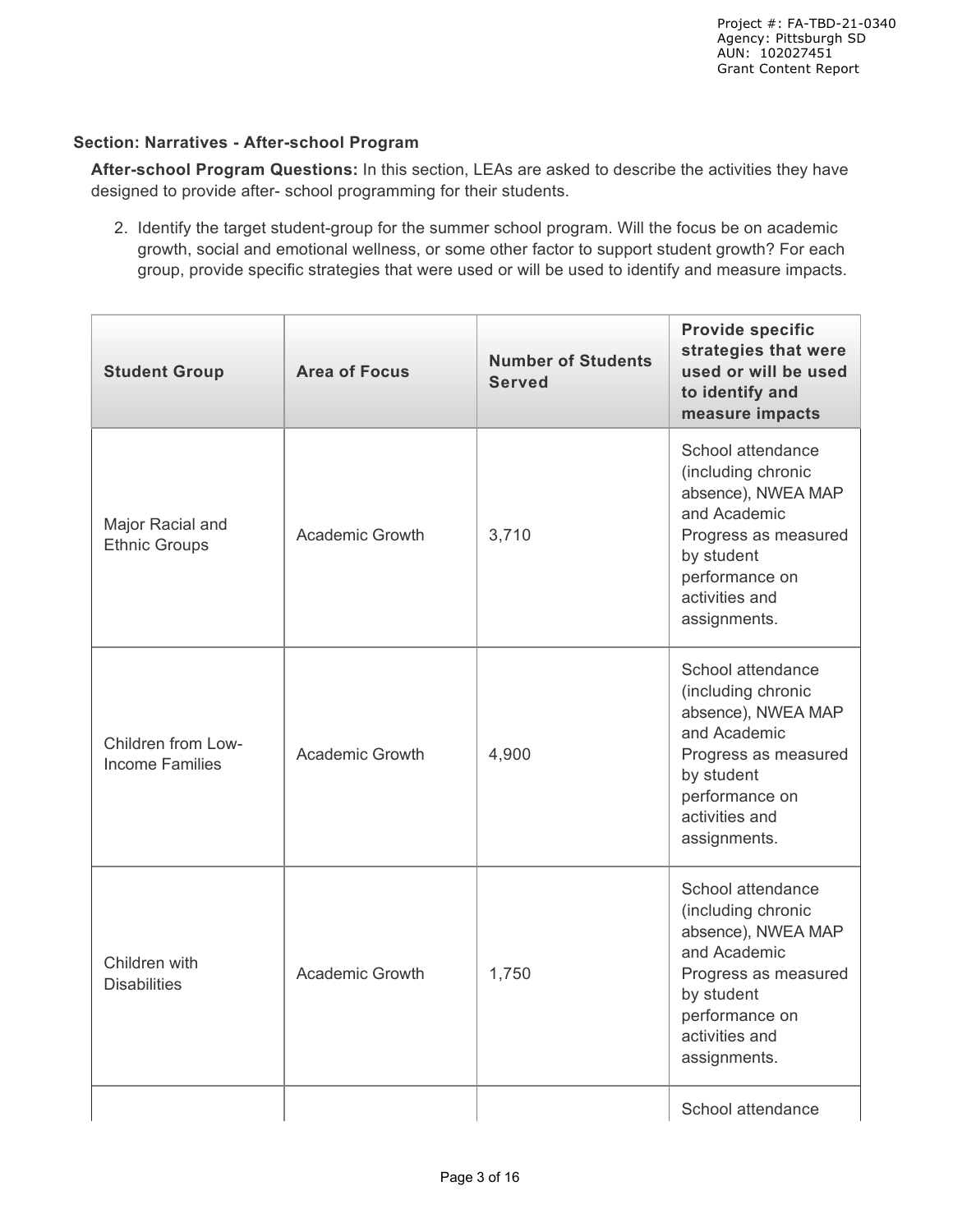### **Section: Narratives - After-school Program**

**After-school Program Questions:** In this section, LEAs are asked to describe the activities they have designed to provide after- school programming for their students.

2. Identify the target student-group for the summer school program. Will the focus be on academic growth, social and emotional wellness, or some other factor to support student growth? For each group, provide specific strategies that were used or will be used to identify and measure impacts.

| <b>Student Group</b>                                    | <b>Area of Focus</b>   | <b>Number of Students</b><br><b>Served</b> | <b>Provide specific</b><br>strategies that were<br>used or will be used<br>to identify and<br>measure impacts                                                           |
|---------------------------------------------------------|------------------------|--------------------------------------------|-------------------------------------------------------------------------------------------------------------------------------------------------------------------------|
| Major Racial and<br><b>Ethnic Groups</b>                | <b>Academic Growth</b> | 3,710                                      | School attendance<br>(including chronic<br>absence), NWEA MAP<br>and Academic<br>Progress as measured<br>by student<br>performance on<br>activities and<br>assignments. |
| Children from Low-<br><b>Income Families</b>            | Academic Growth        | 4,900                                      | School attendance<br>(including chronic<br>absence), NWEA MAP<br>and Academic<br>Progress as measured<br>by student<br>performance on<br>activities and<br>assignments. |
| Children with<br>Academic Growth<br><b>Disabilities</b> |                        | 1,750                                      | School attendance<br>(including chronic<br>absence), NWEA MAP<br>and Academic<br>Progress as measured<br>by student<br>performance on<br>activities and<br>assignments. |
|                                                         |                        |                                            | School attendance                                                                                                                                                       |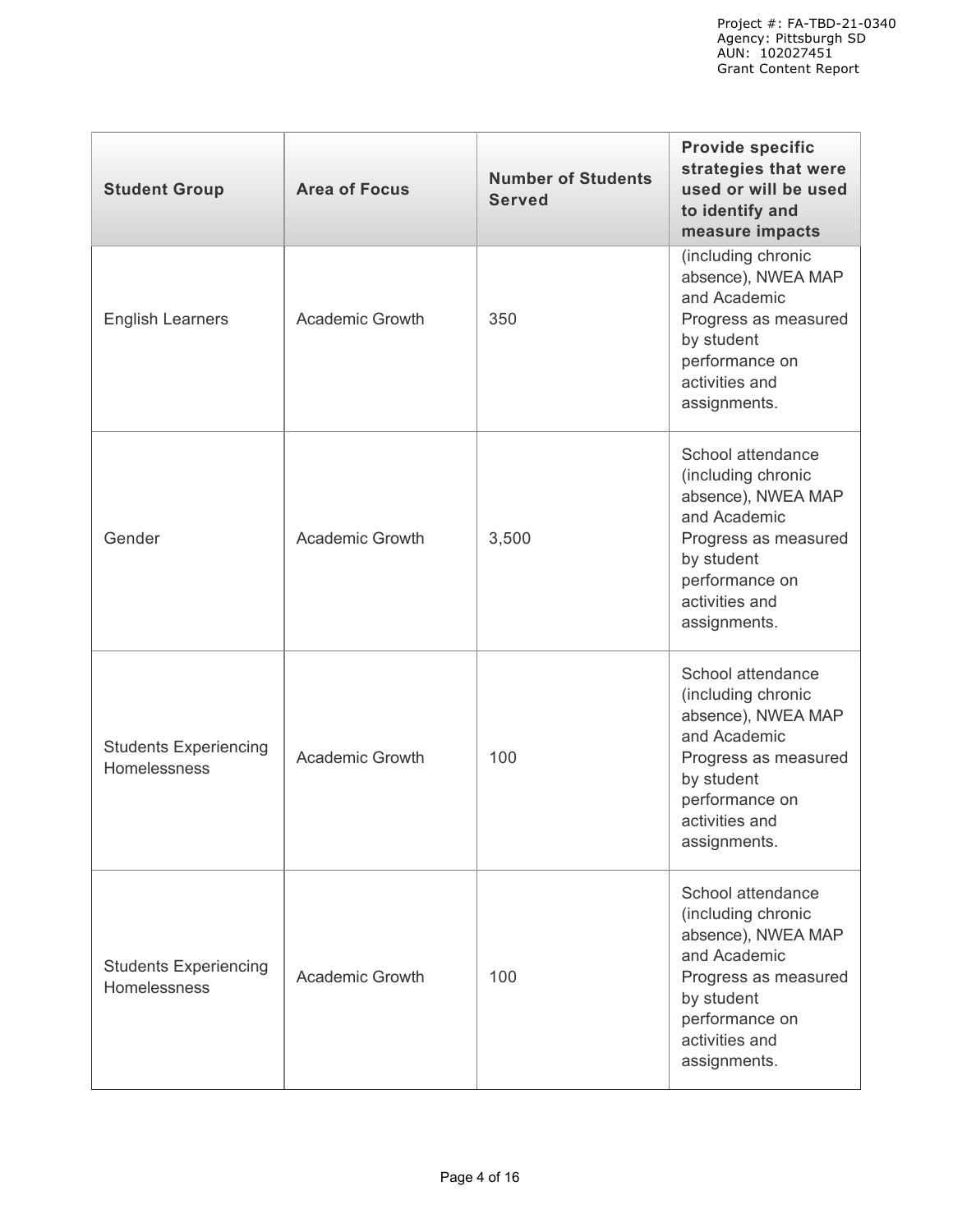| <b>Student Group</b>                         | <b>Area of Focus</b>   | <b>Number of Students</b><br><b>Served</b> | <b>Provide specific</b><br>strategies that were<br>used or will be used<br>to identify and<br>measure impacts                                                           |
|----------------------------------------------|------------------------|--------------------------------------------|-------------------------------------------------------------------------------------------------------------------------------------------------------------------------|
| <b>English Learners</b>                      | <b>Academic Growth</b> | 350                                        | (including chronic<br>absence), NWEA MAP<br>and Academic<br>Progress as measured<br>by student<br>performance on<br>activities and<br>assignments.                      |
| Gender                                       | <b>Academic Growth</b> | 3,500                                      | School attendance<br>(including chronic<br>absence), NWEA MAP<br>and Academic<br>Progress as measured<br>by student<br>performance on<br>activities and<br>assignments. |
| <b>Students Experiencing</b><br>Homelessness | <b>Academic Growth</b> | 100                                        | School attendance<br>(including chronic<br>absence), NWEA MAP<br>and Academic<br>Progress as measured<br>by student<br>performance on<br>activities and<br>assignments. |
| <b>Students Experiencing</b><br>Homelessness | <b>Academic Growth</b> | 100                                        | School attendance<br>(including chronic<br>absence), NWEA MAP<br>and Academic<br>Progress as measured<br>by student<br>performance on<br>activities and<br>assignments. |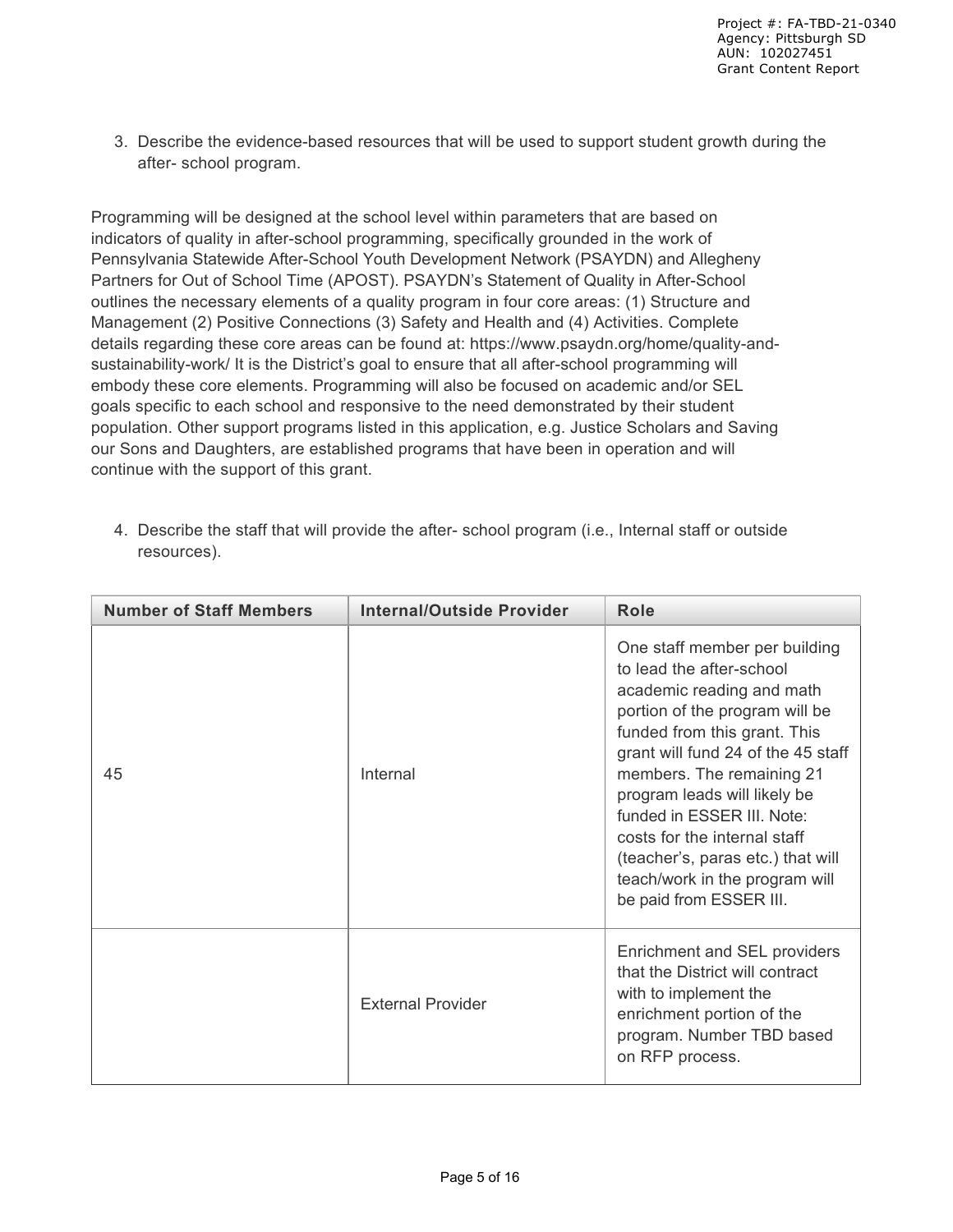3. Describe the evidence-based resources that will be used to support student growth during the after- school program.

Programming will be designed at the school level within parameters that are based on indicators of quality in after-school programming, specifically grounded in the work of Pennsylvania Statewide After-School Youth Development Network (PSAYDN) and Allegheny Partners for Out of School Time (APOST). PSAYDN's Statement of Quality in After-School outlines the necessary elements of a quality program in four core areas: (1) Structure and Management (2) Positive Connections (3) Safety and Health and (4) Activities. Complete details regarding these core areas can be found at: https://www.psaydn.org/home/quality-andsustainability-work/ It is the District's goal to ensure that all after-school programming will embody these core elements. Programming will also be focused on academic and/or SEL goals specific to each school and responsive to the need demonstrated by their student population. Other support programs listed in this application, e.g. Justice Scholars and Saving our Sons and Daughters, are established programs that have been in operation and will continue with the support of this grant.

4. Describe the staff that will provide the after- school program (i.e., Internal staff or outside resources).

| <b>Number of Staff Members</b> | <b>Internal/Outside Provider</b> | Role                                                                                                                                                                                                                                                                                                                                                                                                                        |
|--------------------------------|----------------------------------|-----------------------------------------------------------------------------------------------------------------------------------------------------------------------------------------------------------------------------------------------------------------------------------------------------------------------------------------------------------------------------------------------------------------------------|
| 45                             | Internal                         | One staff member per building<br>to lead the after-school<br>academic reading and math<br>portion of the program will be<br>funded from this grant. This<br>grant will fund 24 of the 45 staff<br>members. The remaining 21<br>program leads will likely be<br>funded in ESSER III. Note:<br>costs for the internal staff<br>(teacher's, paras etc.) that will<br>teach/work in the program will<br>be paid from ESSER III. |
|                                | <b>External Provider</b>         | Enrichment and SEL providers<br>that the District will contract<br>with to implement the<br>enrichment portion of the<br>program. Number TBD based<br>on RFP process.                                                                                                                                                                                                                                                       |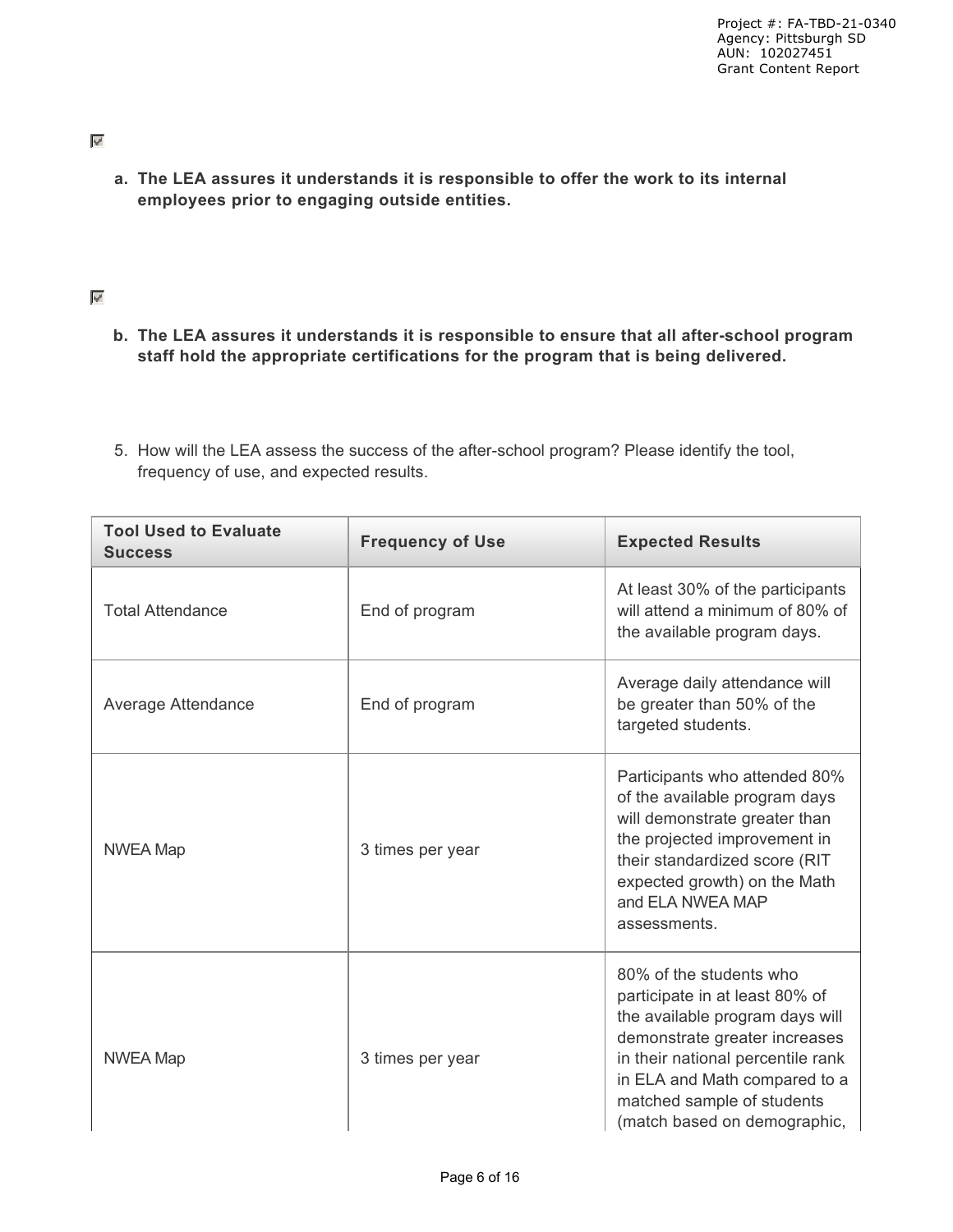**a. The LEA assures it understands it is responsible to offer the work to its internal employees prior to engaging outside entities.**

#### $\mathscr{A}$

- **b. The LEA assures it understands it is responsible to ensure that all after-school program staff hold the appropriate certifications for the program that is being delivered.**
- 5. How will the LEA assess the success of the after-school program? Please identify the tool, frequency of use, and expected results.

| <b>Tool Used to Evaluate</b><br><b>Success</b> | <b>Frequency of Use</b> | <b>Expected Results</b>                                                                                                                                                                                                                                           |
|------------------------------------------------|-------------------------|-------------------------------------------------------------------------------------------------------------------------------------------------------------------------------------------------------------------------------------------------------------------|
| <b>Total Attendance</b>                        | End of program          | At least 30% of the participants<br>will attend a minimum of 80% of<br>the available program days.                                                                                                                                                                |
| Average Attendance                             | End of program          | Average daily attendance will<br>be greater than 50% of the<br>targeted students.                                                                                                                                                                                 |
| <b>NWEA Map</b>                                | 3 times per year        | Participants who attended 80%<br>of the available program days<br>will demonstrate greater than<br>the projected improvement in<br>their standardized score (RIT<br>expected growth) on the Math<br>and ELA NWEA MAP<br>assessments.                              |
| <b>NWEA Map</b>                                | 3 times per year        | 80% of the students who<br>participate in at least 80% of<br>the available program days will<br>demonstrate greater increases<br>in their national percentile rank<br>in ELA and Math compared to a<br>matched sample of students<br>(match based on demographic, |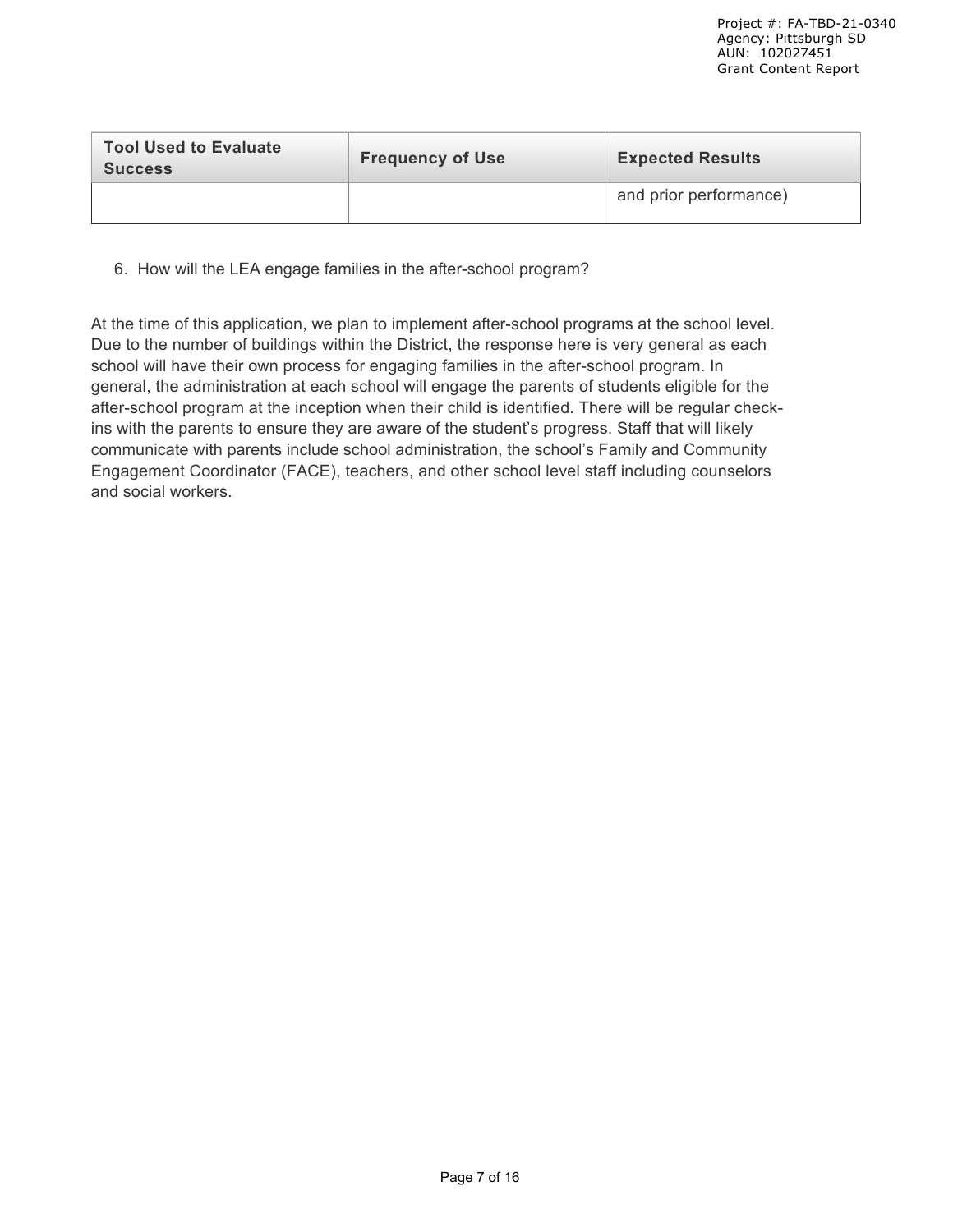| <b>Tool Used to Evaluate</b><br><b>Success</b> | <b>Frequency of Use</b> | <b>Expected Results</b> |  |
|------------------------------------------------|-------------------------|-------------------------|--|
|                                                |                         | and prior performance)  |  |

6. How will the LEA engage families in the after-school program?

At the time of this application, we plan to implement after-school programs at the school level. Due to the number of buildings within the District, the response here is very general as each school will have their own process for engaging families in the after-school program. In general, the administration at each school will engage the parents of students eligible for the after-school program at the inception when their child is identified. There will be regular checkins with the parents to ensure they are aware of the student's progress. Staff that will likely communicate with parents include school administration, the school's Family and Community Engagement Coordinator (FACE), teachers, and other school level staff including counselors and social workers.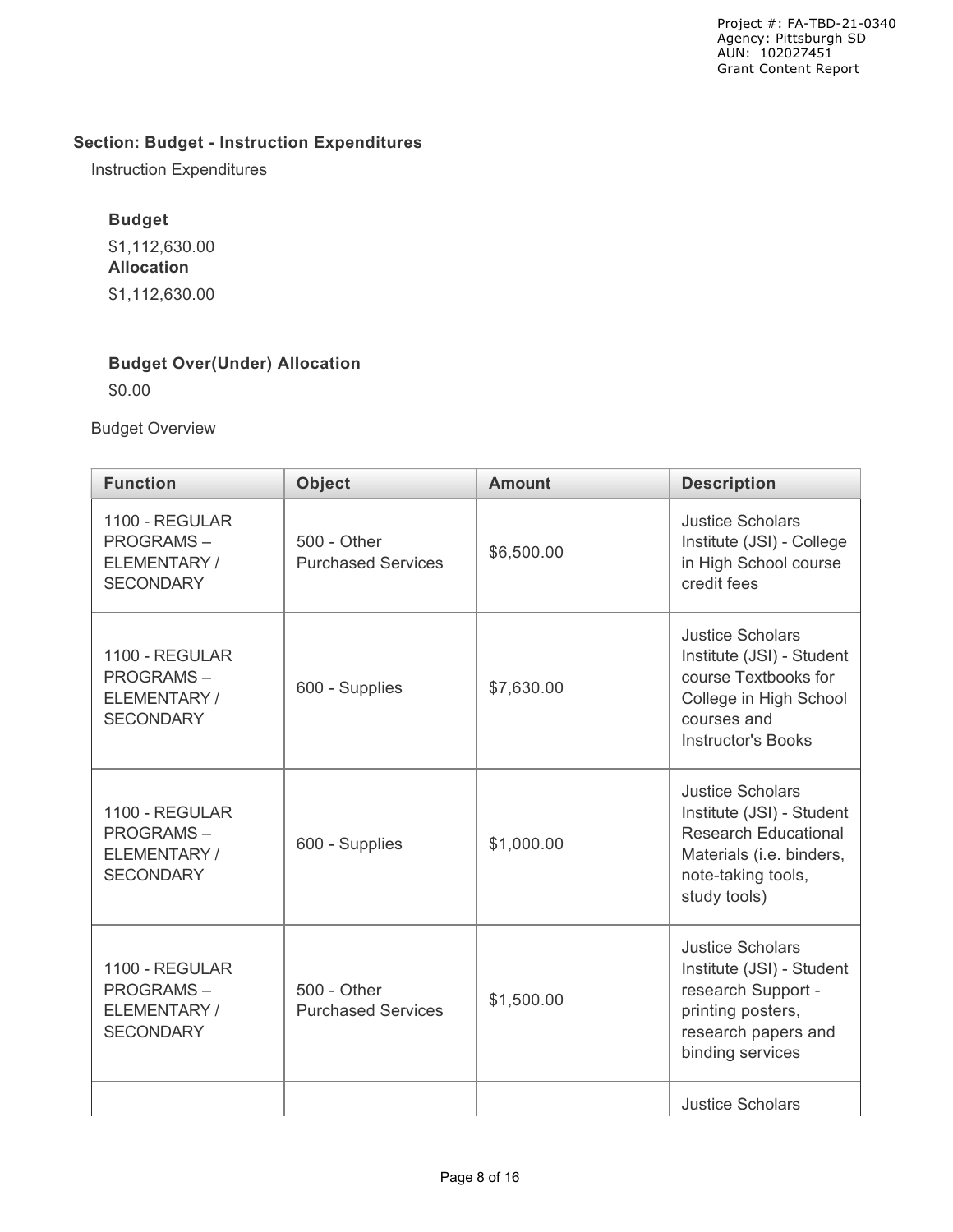## **Section: Budget - Instruction Expenditures**

Instruction Expenditures

## **Budget**

\$1,112,630.00 **Allocation** \$1,112,630.00

### **Budget Over(Under) Allocation**

\$0.00

Budget Overview

| <b>Function</b>                                                        | <b>Object</b>                            | <b>Amount</b> | <b>Description</b>                                                                                                                                    |
|------------------------------------------------------------------------|------------------------------------------|---------------|-------------------------------------------------------------------------------------------------------------------------------------------------------|
| 1100 - REGULAR<br><b>PROGRAMS-</b><br>ELEMENTARY/<br><b>SECONDARY</b>  | 500 - Other<br><b>Purchased Services</b> | \$6,500.00    | <b>Justice Scholars</b><br>Institute (JSI) - College<br>in High School course<br>credit fees                                                          |
| 1100 - REGULAR<br><b>PROGRAMS-</b><br>ELEMENTARY/<br><b>SECONDARY</b>  | 600 - Supplies                           | \$7,630.00    | <b>Justice Scholars</b><br>Institute (JSI) - Student<br>course Textbooks for<br>College in High School<br>courses and<br><b>Instructor's Books</b>    |
| 1100 - REGULAR<br><b>PROGRAMS-</b><br>ELEMENTARY /<br><b>SECONDARY</b> | 600 - Supplies                           | \$1,000.00    | <b>Justice Scholars</b><br>Institute (JSI) - Student<br><b>Research Educational</b><br>Materials (i.e. binders,<br>note-taking tools,<br>study tools) |
| 1100 - REGULAR<br><b>PROGRAMS-</b><br>ELEMENTARY/<br><b>SECONDARY</b>  | 500 - Other<br><b>Purchased Services</b> | \$1,500.00    | <b>Justice Scholars</b><br>Institute (JSI) - Student<br>research Support -<br>printing posters,<br>research papers and<br>binding services            |
|                                                                        |                                          |               | <b>Justice Scholars</b>                                                                                                                               |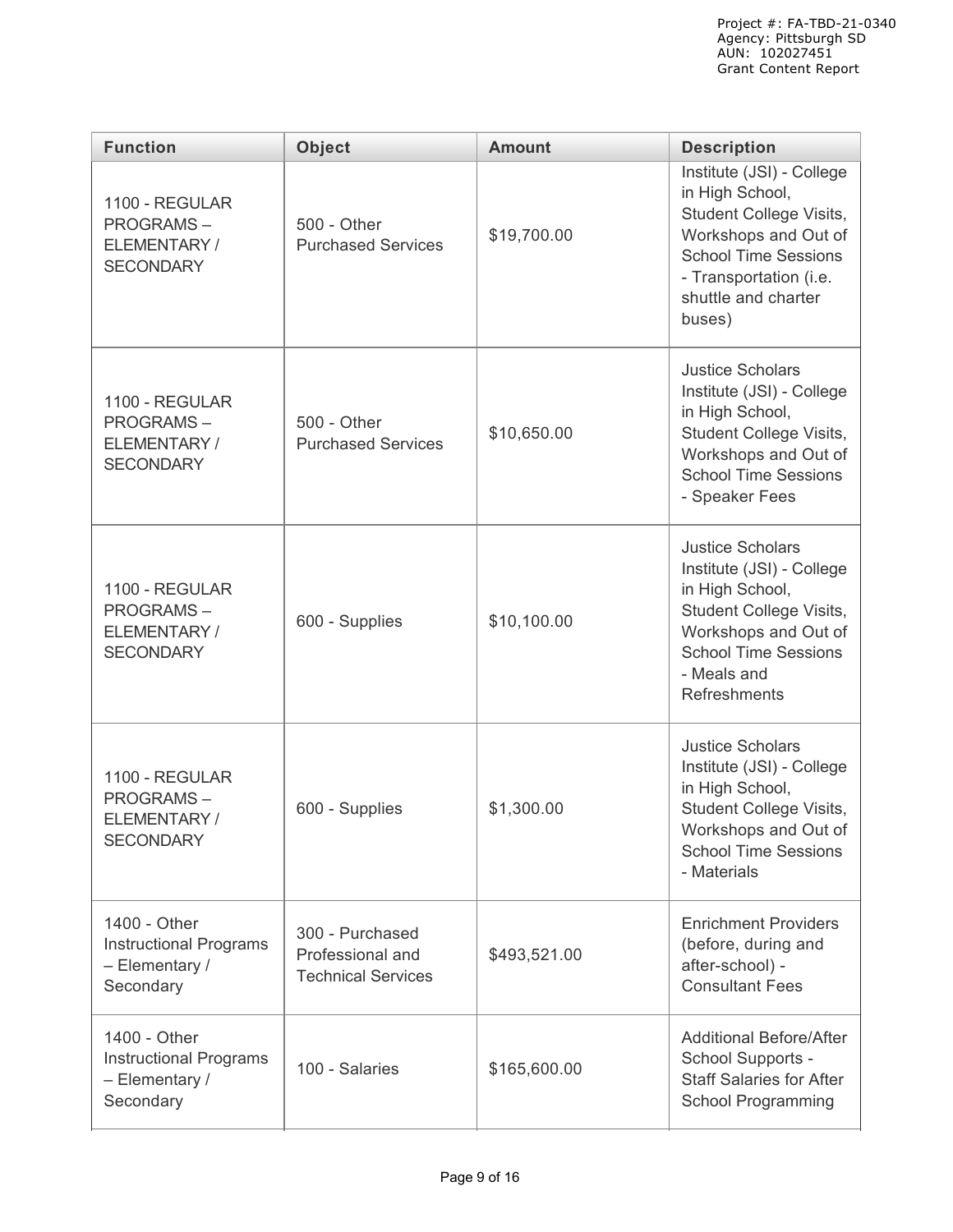| <b>Function</b>                                                              | <b>Object</b>                                                    | <b>Amount</b> | <b>Description</b>                                                                                                                                                                        |  |  |  |
|------------------------------------------------------------------------------|------------------------------------------------------------------|---------------|-------------------------------------------------------------------------------------------------------------------------------------------------------------------------------------------|--|--|--|
| 1100 - REGULAR<br><b>PROGRAMS-</b><br>ELEMENTARY/<br><b>SECONDARY</b>        | 500 - Other<br><b>Purchased Services</b>                         | \$19,700.00   | Institute (JSI) - College<br>in High School,<br>Student College Visits,<br>Workshops and Out of<br><b>School Time Sessions</b><br>- Transportation (i.e.<br>shuttle and charter<br>buses) |  |  |  |
| 1100 - REGULAR<br><b>PROGRAMS-</b><br>ELEMENTARY/<br><b>SECONDARY</b>        | 500 - Other<br><b>Purchased Services</b>                         | \$10,650.00   | <b>Justice Scholars</b><br>Institute (JSI) - College<br>in High School,<br>Student College Visits,<br>Workshops and Out of<br><b>School Time Sessions</b><br>- Speaker Fees               |  |  |  |
| 1100 - REGULAR<br><b>PROGRAMS-</b><br>ELEMENTARY/<br><b>SECONDARY</b>        | 600 - Supplies                                                   | \$10,100.00   | <b>Justice Scholars</b><br>Institute (JSI) - College<br>in High School,<br>Student College Visits,<br>Workshops and Out of<br><b>School Time Sessions</b><br>- Meals and<br>Refreshments  |  |  |  |
| 1100 - REGULAR<br><b>PROGRAMS-</b><br>ELEMENTARY/<br><b>SECONDARY</b>        | 600 - Supplies                                                   | \$1,300.00    | <b>Justice Scholars</b><br>Institute (JSI) - College<br>in High School,<br>Student College Visits,<br>Workshops and Out of<br><b>School Time Sessions</b><br>- Materials                  |  |  |  |
| 1400 - Other<br><b>Instructional Programs</b><br>- Elementary /<br>Secondary | 300 - Purchased<br>Professional and<br><b>Technical Services</b> | \$493,521.00  | <b>Enrichment Providers</b><br>(before, during and<br>after-school) -<br><b>Consultant Fees</b>                                                                                           |  |  |  |
| 1400 - Other<br><b>Instructional Programs</b><br>- Elementary /<br>Secondary | 100 - Salaries                                                   | \$165,600.00  | <b>Additional Before/After</b><br>School Supports -<br><b>Staff Salaries for After</b><br><b>School Programming</b>                                                                       |  |  |  |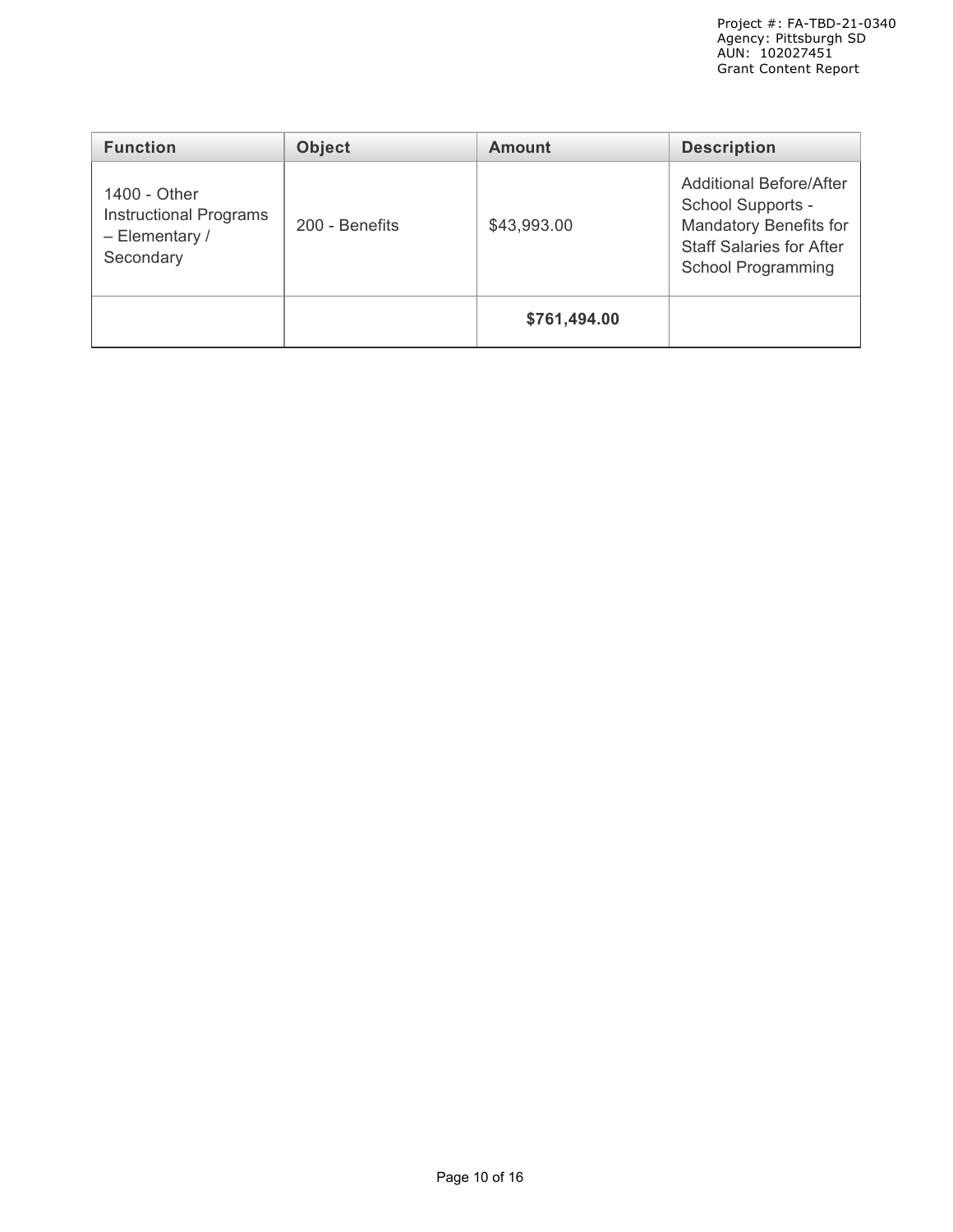| <b>Function</b>                                                                | <b>Object</b>  | <b>Amount</b> | <b>Description</b>                                                                                                                                   |
|--------------------------------------------------------------------------------|----------------|---------------|------------------------------------------------------------------------------------------------------------------------------------------------------|
| 1400 - Other<br><b>Instructional Programs</b><br>$-$ Elementary /<br>Secondary | 200 - Benefits | \$43,993.00   | <b>Additional Before/After</b><br>School Supports -<br><b>Mandatory Benefits for</b><br><b>Staff Salaries for After</b><br><b>School Programming</b> |
|                                                                                |                | \$761,494.00  |                                                                                                                                                      |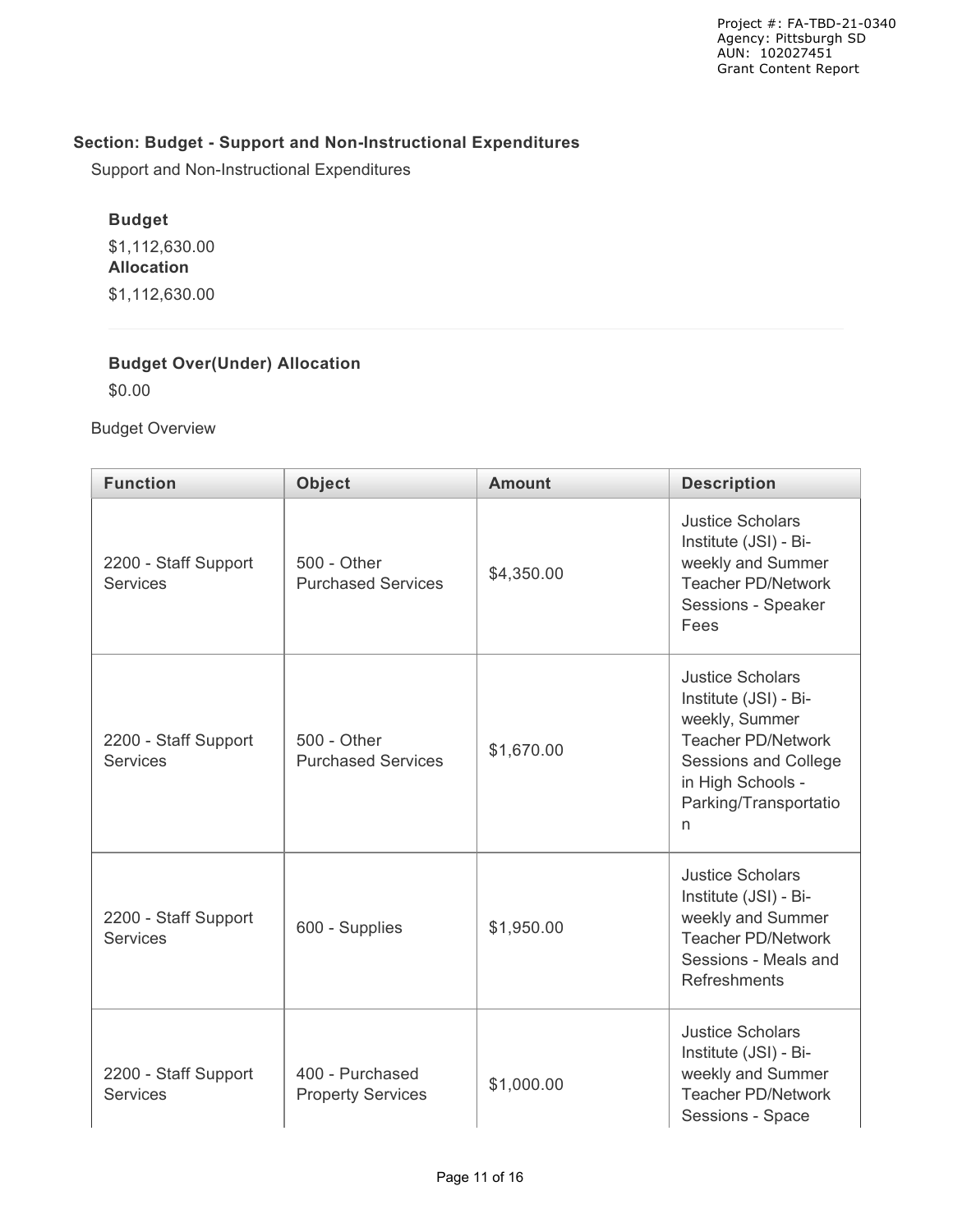## **Section: Budget - Support and Non-Instructional Expenditures**

Support and Non-Instructional Expenditures

# **Budget**

\$1,112,630.00 **Allocation** \$1,112,630.00

### **Budget Over(Under) Allocation**

\$0.00

Budget Overview

| <b>Function</b>                         | <b>Object</b>                               | <b>Amount</b> | <b>Description</b>                                                                                                                                                         |  |  |
|-----------------------------------------|---------------------------------------------|---------------|----------------------------------------------------------------------------------------------------------------------------------------------------------------------------|--|--|
| 2200 - Staff Support<br><b>Services</b> | 500 - Other<br><b>Purchased Services</b>    | \$4,350.00    | <b>Justice Scholars</b><br>Institute (JSI) - Bi-<br>weekly and Summer<br><b>Teacher PD/Network</b><br>Sessions - Speaker<br>Fees                                           |  |  |
| 2200 - Staff Support<br><b>Services</b> | 500 - Other<br><b>Purchased Services</b>    | \$1,670.00    | <b>Justice Scholars</b><br>Institute (JSI) - Bi-<br>weekly, Summer<br><b>Teacher PD/Network</b><br>Sessions and College<br>in High Schools -<br>Parking/Transportatio<br>n |  |  |
| 2200 - Staff Support<br><b>Services</b> | 600 - Supplies                              | \$1,950.00    | <b>Justice Scholars</b><br>Institute (JSI) - Bi-<br>weekly and Summer<br><b>Teacher PD/Network</b><br>Sessions - Meals and<br>Refreshments                                 |  |  |
| 2200 - Staff Support<br><b>Services</b> | 400 - Purchased<br><b>Property Services</b> | \$1,000.00    | <b>Justice Scholars</b><br>Institute (JSI) - Bi-<br>weekly and Summer<br><b>Teacher PD/Network</b><br>Sessions - Space                                                     |  |  |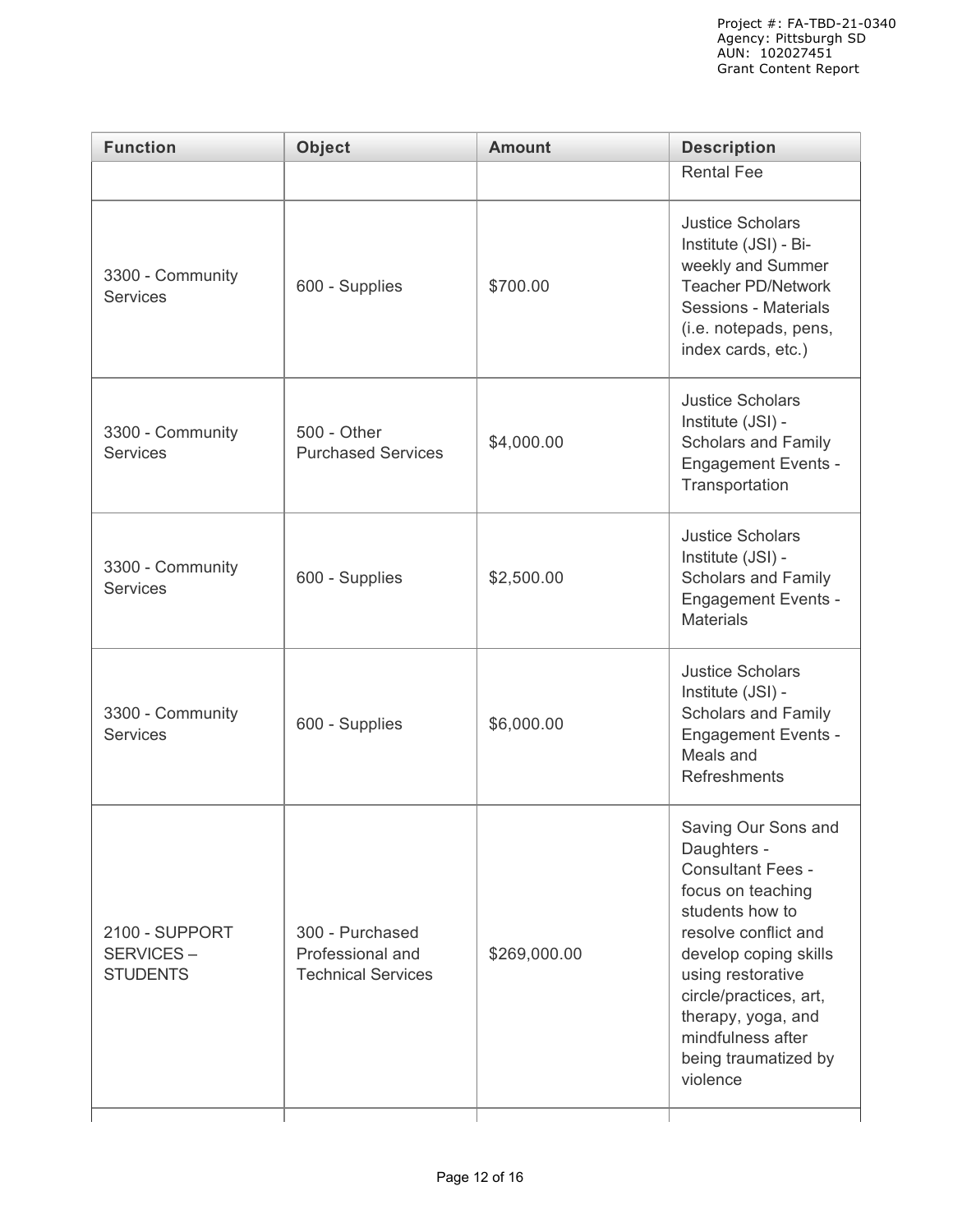| <b>Function</b>                                | <b>Object</b>                                                    | <b>Amount</b> | <b>Description</b>                                                                                                                                                                                                                                                                    |  |
|------------------------------------------------|------------------------------------------------------------------|---------------|---------------------------------------------------------------------------------------------------------------------------------------------------------------------------------------------------------------------------------------------------------------------------------------|--|
|                                                |                                                                  |               | <b>Rental Fee</b>                                                                                                                                                                                                                                                                     |  |
| 3300 - Community<br><b>Services</b>            | 600 - Supplies<br>\$700.00                                       |               | <b>Justice Scholars</b><br>Institute (JSI) - Bi-<br>weekly and Summer<br><b>Teacher PD/Network</b><br>Sessions - Materials<br>(i.e. notepads, pens,<br>index cards, etc.)                                                                                                             |  |
| 3300 - Community<br><b>Services</b>            | 500 - Other<br><b>Purchased Services</b>                         | \$4,000.00    | <b>Justice Scholars</b><br>Institute (JSI) -<br><b>Scholars and Family</b><br><b>Engagement Events -</b><br>Transportation                                                                                                                                                            |  |
| 3300 - Community<br><b>Services</b>            | 600 - Supplies                                                   | \$2,500.00    | <b>Justice Scholars</b><br>Institute (JSI) -<br>Scholars and Family<br><b>Engagement Events -</b><br><b>Materials</b>                                                                                                                                                                 |  |
| 3300 - Community<br><b>Services</b>            | 600 - Supplies                                                   | \$6,000.00    | <b>Justice Scholars</b><br>Institute (JSI) -<br><b>Scholars and Family</b><br><b>Engagement Events -</b><br>Meals and<br>Refreshments                                                                                                                                                 |  |
| 2100 - SUPPORT<br>SERVICES-<br><b>STUDENTS</b> | 300 - Purchased<br>Professional and<br><b>Technical Services</b> | \$269,000.00  | Saving Our Sons and<br>Daughters -<br><b>Consultant Fees -</b><br>focus on teaching<br>students how to<br>resolve conflict and<br>develop coping skills<br>using restorative<br>circle/practices, art,<br>therapy, yoga, and<br>mindfulness after<br>being traumatized by<br>violence |  |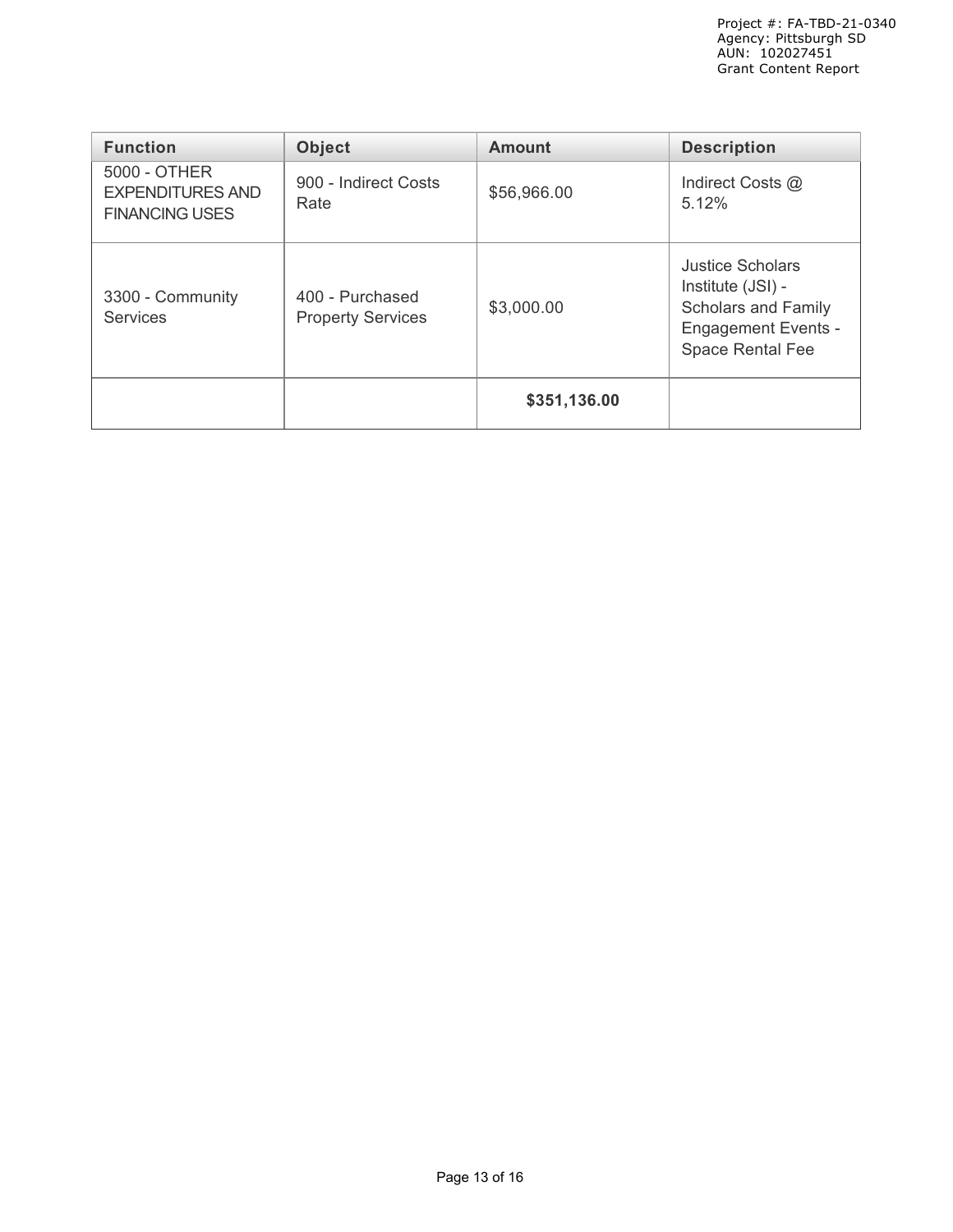| <b>Function</b>                                                  | <b>Object</b>                               | <b>Amount</b> | <b>Description</b>                                                                                                                  |
|------------------------------------------------------------------|---------------------------------------------|---------------|-------------------------------------------------------------------------------------------------------------------------------------|
| 5000 - OTHER<br><b>EXPENDITURES AND</b><br><b>FINANCING USES</b> | 900 - Indirect Costs<br>Rate                | \$56,966.00   | Indirect Costs @<br>5.12%                                                                                                           |
| 3300 - Community<br><b>Services</b>                              | 400 - Purchased<br><b>Property Services</b> | \$3,000.00    | <b>Justice Scholars</b><br>Institute (JSI) -<br><b>Scholars and Family</b><br><b>Engagement Events -</b><br><b>Space Rental Fee</b> |
|                                                                  |                                             | \$351,136.00  |                                                                                                                                     |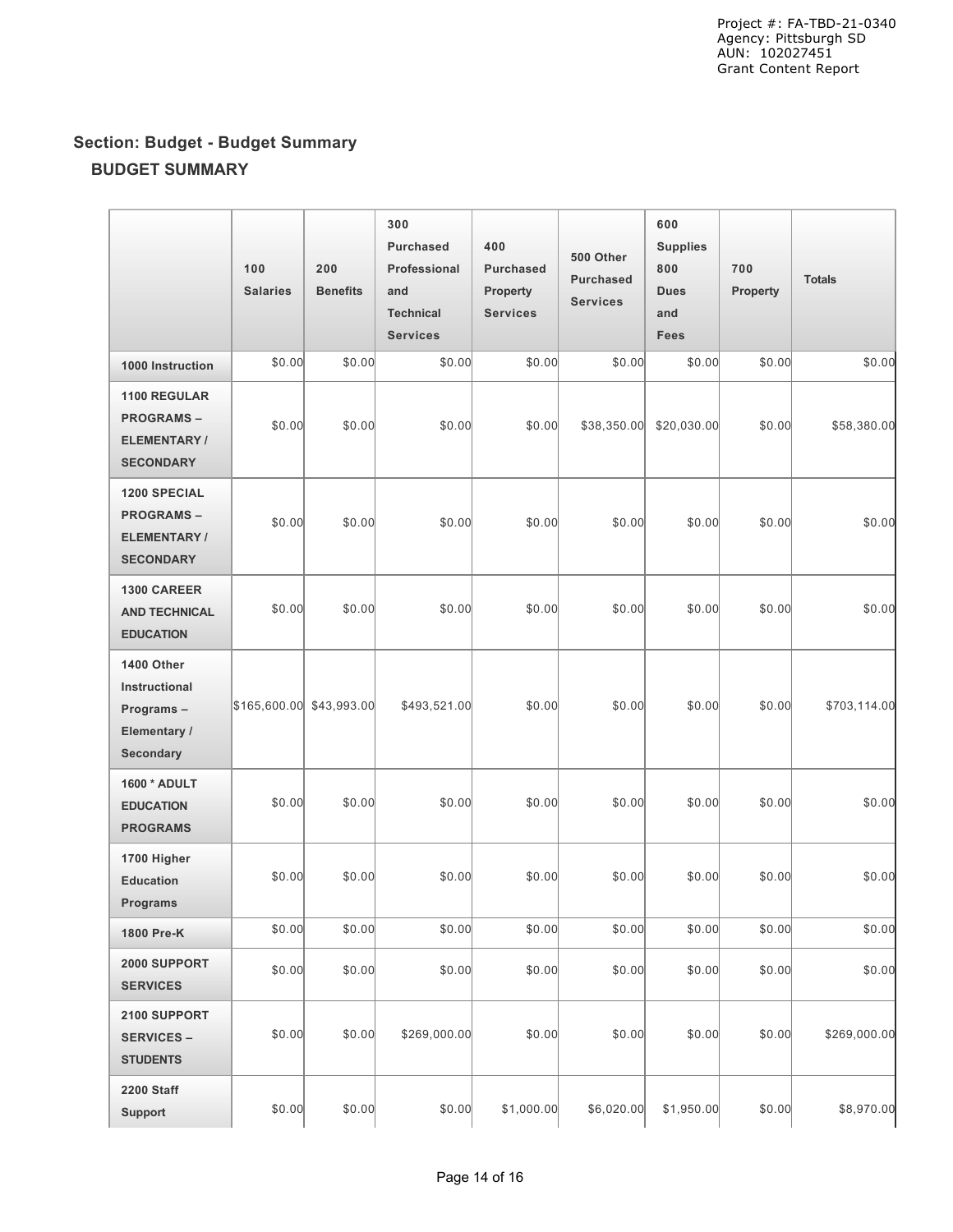# **Section: Budget - Budget Summary BUDGET SUMMARY**

|                                                                                   | 100<br><b>Salaries</b>   | 200<br><b>Benefits</b> | 300<br><b>Purchased</b><br>Professional<br>and<br><b>Technical</b><br><b>Services</b> | 400<br><b>Purchased</b><br>Property<br><b>Services</b> | 500 Other<br><b>Purchased</b><br><b>Services</b> | 600<br><b>Supplies</b><br>800<br><b>Dues</b><br>and<br><b>Fees</b> | 700<br><b>Property</b> | <b>Totals</b> |
|-----------------------------------------------------------------------------------|--------------------------|------------------------|---------------------------------------------------------------------------------------|--------------------------------------------------------|--------------------------------------------------|--------------------------------------------------------------------|------------------------|---------------|
| 1000 Instruction                                                                  | \$0.00                   | \$0.00                 | \$0.00                                                                                | \$0.00                                                 | \$0.00                                           | \$0.00                                                             | \$0.00                 | \$0.00        |
| 1100 REGULAR<br><b>PROGRAMS-</b><br><b>ELEMENTARY/</b><br><b>SECONDARY</b>        | \$0.00                   | \$0.00                 | \$0.00                                                                                | \$0.00                                                 | \$38,350.00                                      | \$20,030.00                                                        | \$0.00                 | \$58,380.00   |
| <b>1200 SPECIAL</b><br><b>PROGRAMS-</b><br><b>ELEMENTARY/</b><br><b>SECONDARY</b> | \$0.00                   | \$0.00                 | \$0.00                                                                                | \$0.00                                                 | \$0.00                                           | \$0.00                                                             | \$0.00                 | \$0.00        |
| 1300 CAREER<br><b>AND TECHNICAL</b><br><b>EDUCATION</b>                           | \$0.00                   | \$0.00                 | \$0.00                                                                                | \$0.00                                                 | \$0.00                                           | \$0.00                                                             | \$0.00                 | \$0.00        |
| 1400 Other<br>Instructional<br>Programs-<br>Elementary /<br>Secondary             | \$165,600.00 \$43,993.00 |                        | \$493,521.00                                                                          | \$0.00                                                 | \$0.00                                           | \$0.00                                                             | \$0.00                 | \$703,114.00  |
| 1600 * ADULT<br><b>EDUCATION</b><br><b>PROGRAMS</b>                               | \$0.00                   | \$0.00                 | \$0.00                                                                                | \$0.00                                                 | \$0.00                                           | \$0.00                                                             | \$0.00                 | \$0.00        |
| 1700 Higher<br><b>Education</b><br><b>Programs</b>                                | \$0.00                   | \$0.00                 | \$0.00                                                                                | \$0.00                                                 | \$0.00                                           | \$0.00                                                             | \$0.00                 | \$0.00        |
| 1800 Pre-K                                                                        | \$0.00                   | \$0.00                 | \$0.00                                                                                | \$0.00                                                 | \$0.00                                           | \$0.00                                                             | \$0.00                 | \$0.00        |
| 2000 SUPPORT<br><b>SERVICES</b>                                                   | \$0.00                   | \$0.00                 | \$0.00                                                                                | \$0.00                                                 | \$0.00                                           | \$0.00                                                             | \$0.00                 | \$0.00        |
| 2100 SUPPORT<br><b>SERVICES -</b><br><b>STUDENTS</b>                              | \$0.00                   | \$0.00                 | \$269,000.00                                                                          | \$0.00                                                 | \$0.00                                           | \$0.00                                                             | \$0.00                 | \$269,000.00  |
| 2200 Staff<br><b>Support</b>                                                      | \$0.00                   | \$0.00                 | \$0.00                                                                                | \$1,000.00]                                            | \$6,020.00                                       | \$1,950.00                                                         | \$0.00                 | \$8,970.00    |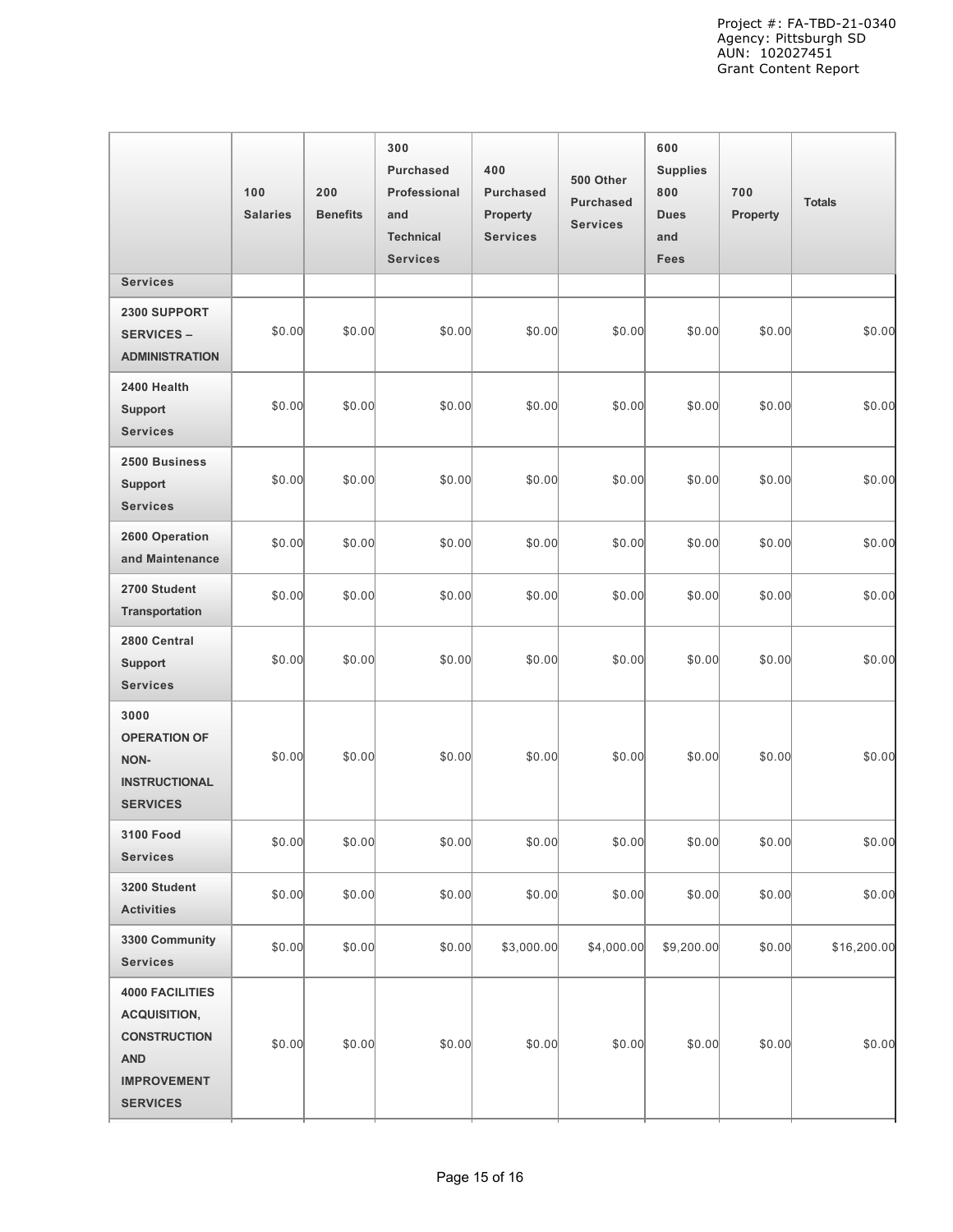|                                                                                                                             | 100<br><b>Salaries</b> | 200<br><b>Benefits</b> | 300<br><b>Purchased</b><br>Professional<br>and<br><b>Technical</b><br><b>Services</b> | 400<br><b>Purchased</b><br>Property<br><b>Services</b> | 500 Other<br><b>Purchased</b><br><b>Services</b> | 600<br><b>Supplies</b><br>800<br><b>Dues</b><br>and<br>Fees | 700<br>Property | <b>Totals</b> |
|-----------------------------------------------------------------------------------------------------------------------------|------------------------|------------------------|---------------------------------------------------------------------------------------|--------------------------------------------------------|--------------------------------------------------|-------------------------------------------------------------|-----------------|---------------|
| <b>Services</b>                                                                                                             |                        |                        |                                                                                       |                                                        |                                                  |                                                             |                 |               |
| 2300 SUPPORT<br><b>SERVICES -</b><br><b>ADMINISTRATION</b>                                                                  | \$0.00                 | \$0.00                 | \$0.00                                                                                | \$0.00                                                 | \$0.00                                           | \$0.00                                                      | \$0.00          | \$0.00        |
| 2400 Health<br><b>Support</b><br><b>Services</b>                                                                            | \$0.00                 | \$0.00                 | \$0.00                                                                                | \$0.00                                                 | \$0.00                                           | \$0.00                                                      | \$0.00          | \$0.00        |
| 2500 Business<br><b>Support</b><br><b>Services</b>                                                                          | \$0.00                 | \$0.00                 | \$0.00                                                                                | \$0.00                                                 | \$0.00                                           | \$0.00                                                      | \$0.00          | \$0.00        |
| 2600 Operation<br>and Maintenance                                                                                           | \$0.00                 | \$0.00                 | \$0.00                                                                                | \$0.00                                                 | \$0.00                                           | \$0.00                                                      | \$0.00          | \$0.00        |
| 2700 Student<br>Transportation                                                                                              | \$0.00                 | \$0.00                 | \$0.00                                                                                | \$0.00                                                 | \$0.00                                           | \$0.00                                                      | \$0.00          | \$0.00        |
| 2800 Central<br><b>Support</b><br><b>Services</b>                                                                           | \$0.00                 | \$0.00                 | \$0.00                                                                                | \$0.00                                                 | \$0.00                                           | \$0.00                                                      | \$0.00          | \$0.00        |
| 3000<br><b>OPERATION OF</b><br><b>NON-</b><br><b>INSTRUCTIONAL</b><br><b>SERVICES</b>                                       | \$0.00                 | \$0.00                 | \$0.00                                                                                | \$0.00                                                 | \$0.00                                           | \$0.00                                                      | \$0.00          | \$0.00        |
| <b>3100 Food</b><br><b>Services</b>                                                                                         | \$0.00                 | \$0.00                 | \$0.00                                                                                | \$0.00                                                 | \$0.00                                           | \$0.00                                                      | \$0.00          | \$0.00        |
| 3200 Student<br><b>Activities</b>                                                                                           | \$0.00                 | \$0.00                 | \$0.00                                                                                | \$0.00                                                 | \$0.00                                           | \$0.00                                                      | \$0.00          | \$0.00        |
| 3300 Community<br><b>Services</b>                                                                                           | \$0.00                 | \$0.00                 | \$0.00                                                                                | \$3,000.00                                             | \$4,000.00                                       | \$9,200.00                                                  | \$0.00          | \$16,200.00   |
| <b>4000 FACILITIES</b><br><b>ACQUISITION,</b><br><b>CONSTRUCTION</b><br><b>AND</b><br><b>IMPROVEMENT</b><br><b>SERVICES</b> | \$0.00                 | \$0.00                 | \$0.00                                                                                | \$0.00                                                 | \$0.00                                           | \$0.00                                                      | \$0.00          | \$0.00        |